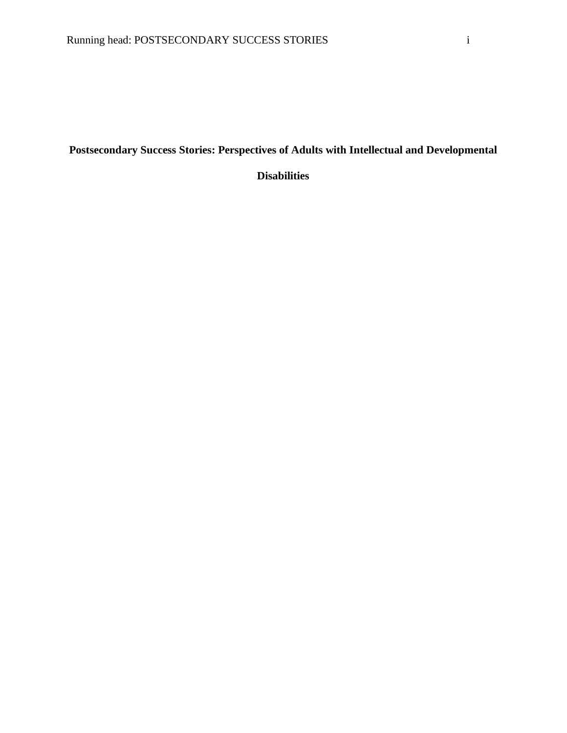# **Postsecondary Success Stories: Perspectives of Adults with Intellectual and Developmental**

**Disabilities**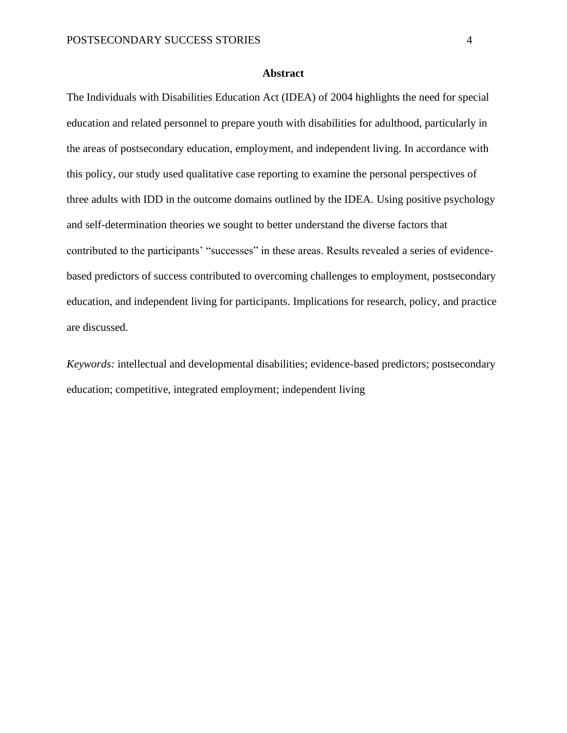# **Abstract**

The Individuals with Disabilities Education Act (IDEA) of 2004 highlights the need for special education and related personnel to prepare youth with disabilities for adulthood, particularly in the areas of postsecondary education, employment, and independent living. In accordance with this policy, our study used qualitative case reporting to examine the personal perspectives of three adults with IDD in the outcome domains outlined by the IDEA. Using positive psychology and self-determination theories we sought to better understand the diverse factors that contributed to the participants' "successes" in these areas. Results revealed a series of evidencebased predictors of success contributed to overcoming challenges to employment, postsecondary education, and independent living for participants. Implications for research, policy, and practice are discussed.

*Keywords:* intellectual and developmental disabilities; evidence-based predictors; postsecondary education; competitive, integrated employment; independent living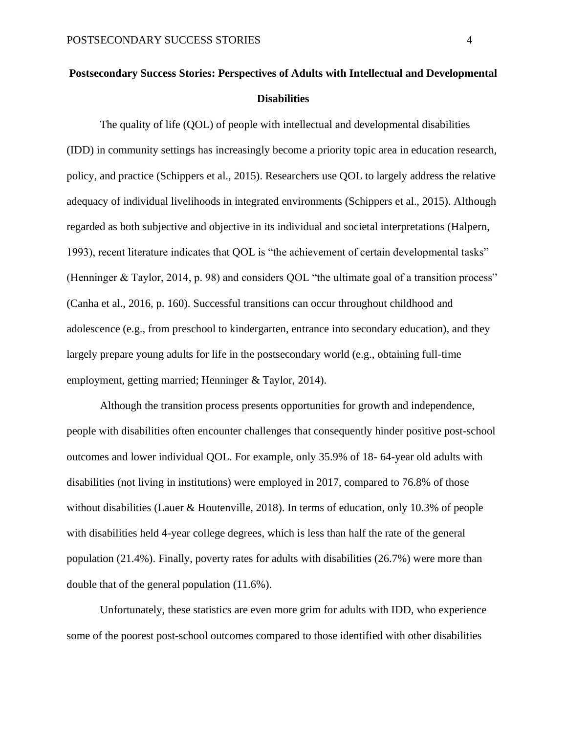# **Postsecondary Success Stories: Perspectives of Adults with Intellectual and Developmental Disabilities**

The quality of life (QOL) of people with intellectual and developmental disabilities (IDD) in community settings has increasingly become a priority topic area in education research, policy, and practice (Schippers et al., 2015). Researchers use QOL to largely address the relative adequacy of individual livelihoods in integrated environments (Schippers et al., 2015). Although regarded as both subjective and objective in its individual and societal interpretations (Halpern, 1993), recent literature indicates that QOL is "the achievement of certain developmental tasks" (Henninger & Taylor, 2014, p. 98) and considers QOL "the ultimate goal of a transition process" (Canha et al., 2016, p. 160). Successful transitions can occur throughout childhood and adolescence (e.g., from preschool to kindergarten, entrance into secondary education), and they largely prepare young adults for life in the postsecondary world (e.g., obtaining full-time employment, getting married; Henninger & Taylor, 2014).

Although the transition process presents opportunities for growth and independence, people with disabilities often encounter challenges that consequently hinder positive post-school outcomes and lower individual QOL. For example, only 35.9% of 18- 64-year old adults with disabilities (not living in institutions) were employed in 2017, compared to 76.8% of those without disabilities (Lauer & Houtenville, 2018). In terms of education, only 10.3% of people with disabilities held 4-year college degrees, which is less than half the rate of the general population (21.4%). Finally, poverty rates for adults with disabilities (26.7%) were more than double that of the general population (11.6%).

Unfortunately, these statistics are even more grim for adults with IDD, who experience some of the poorest post-school outcomes compared to those identified with other disabilities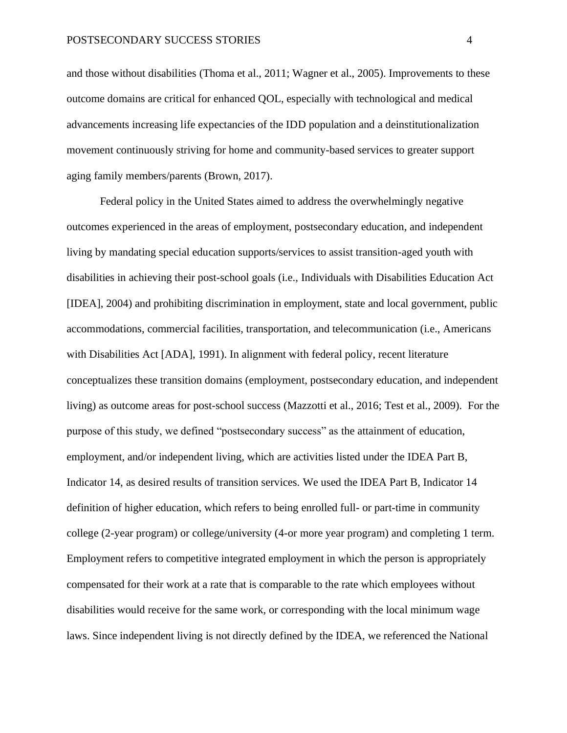and those without disabilities (Thoma et al., 2011; Wagner et al., 2005). Improvements to these outcome domains are critical for enhanced QOL, especially with technological and medical advancements increasing life expectancies of the IDD population and a deinstitutionalization movement continuously striving for home and community-based services to greater support aging family members/parents (Brown, 2017).

Federal policy in the United States aimed to address the overwhelmingly negative outcomes experienced in the areas of employment, postsecondary education, and independent living by mandating special education supports/services to assist transition-aged youth with disabilities in achieving their post-school goals (i.e., Individuals with Disabilities Education Act [IDEA], 2004) and prohibiting discrimination in employment, state and local government, public accommodations, commercial facilities, transportation, and telecommunication (i.e., Americans with Disabilities Act [ADA], 1991). In alignment with federal policy, recent literature conceptualizes these transition domains (employment, postsecondary education, and independent living) as outcome areas for post-school success (Mazzotti et al., 2016; Test et al., 2009). For the purpose of this study, we defined "postsecondary success" as the attainment of education, employment, and/or independent living, which are activities listed under the IDEA Part B, Indicator 14, as desired results of transition services. We used the IDEA Part B, Indicator 14 definition of higher education, which refers to being enrolled full- or part-time in community college (2-year program) or college/university (4-or more year program) and completing 1 term. Employment refers to competitive integrated employment in which the person is appropriately compensated for their work at a rate that is comparable to the rate which employees without disabilities would receive for the same work, or corresponding with the local minimum wage laws. Since independent living is not directly defined by the IDEA, we referenced the National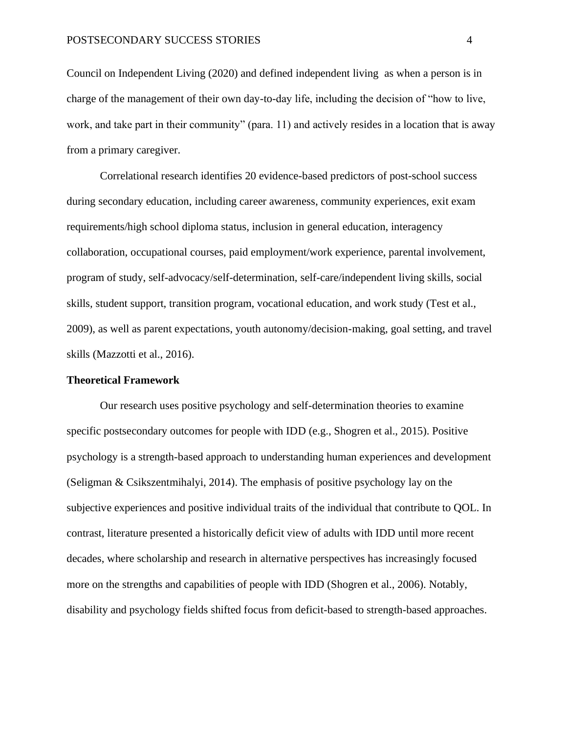Council on Independent Living (2020) and defined independent living as when a person is in charge of the management of their own day-to-day life, including the decision of "how to live, work, and take part in their community" (para. 11) and actively resides in a location that is away from a primary caregiver.

Correlational research identifies 20 evidence-based predictors of post-school success during secondary education, including career awareness, community experiences, exit exam requirements/high school diploma status, inclusion in general education, interagency collaboration, occupational courses, paid employment/work experience, parental involvement, program of study, self-advocacy/self-determination, self-care/independent living skills, social skills, student support, transition program, vocational education, and work study (Test et al., 2009), as well as parent expectations, youth autonomy/decision-making, goal setting, and travel skills (Mazzotti et al., 2016).

#### **Theoretical Framework**

Our research uses positive psychology and self-determination theories to examine specific postsecondary outcomes for people with IDD (e.g., Shogren et al., 2015). Positive psychology is a strength-based approach to understanding human experiences and development (Seligman & Csikszentmihalyi, 2014). The emphasis of positive psychology lay on the subjective experiences and positive individual traits of the individual that contribute to QOL. In contrast, literature presented a historically deficit view of adults with IDD until more recent decades, where scholarship and research in alternative perspectives has increasingly focused more on the strengths and capabilities of people with IDD (Shogren et al., 2006). Notably, disability and psychology fields shifted focus from deficit-based to strength-based approaches.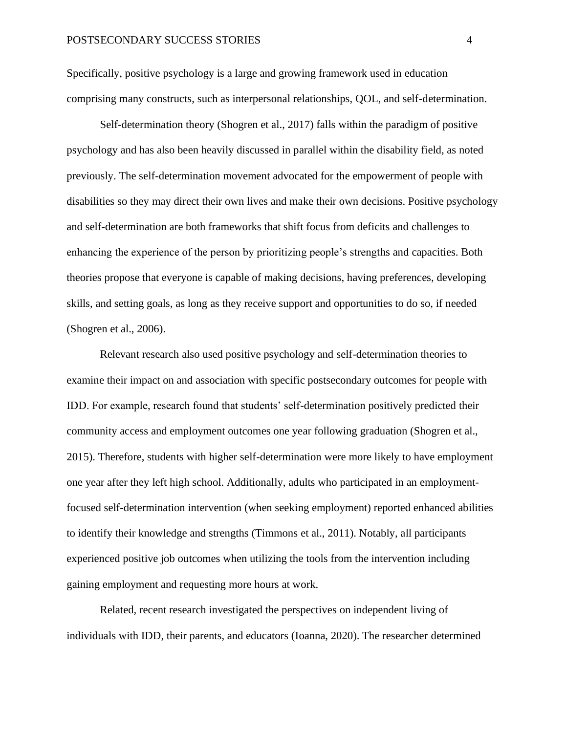Specifically, positive psychology is a large and growing framework used in education comprising many constructs, such as interpersonal relationships, QOL, and self-determination.

Self-determination theory (Shogren et al., 2017) falls within the paradigm of positive psychology and has also been heavily discussed in parallel within the disability field, as noted previously. The self-determination movement advocated for the empowerment of people with disabilities so they may direct their own lives and make their own decisions. Positive psychology and self-determination are both frameworks that shift focus from deficits and challenges to enhancing the experience of the person by prioritizing people's strengths and capacities. Both theories propose that everyone is capable of making decisions, having preferences, developing skills, and setting goals, as long as they receive support and opportunities to do so, if needed (Shogren et al., 2006).

Relevant research also used positive psychology and self-determination theories to examine their impact on and association with specific postsecondary outcomes for people with IDD. For example, research found that students' self-determination positively predicted their community access and employment outcomes one year following graduation (Shogren et al., 2015). Therefore, students with higher self-determination were more likely to have employment one year after they left high school. Additionally, adults who participated in an employmentfocused self-determination intervention (when seeking employment) reported enhanced abilities to identify their knowledge and strengths (Timmons et al., 2011). Notably, all participants experienced positive job outcomes when utilizing the tools from the intervention including gaining employment and requesting more hours at work.

Related, recent research investigated the perspectives on independent living of individuals with IDD, their parents, and educators (Ioanna, 2020). The researcher determined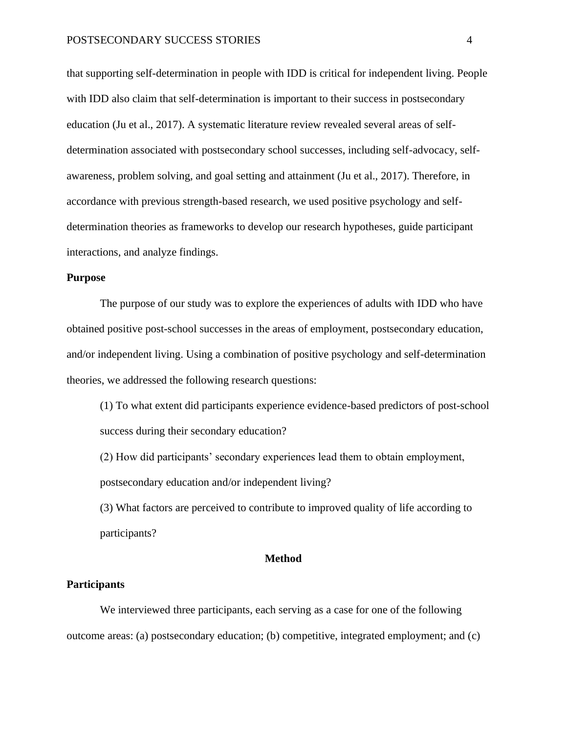that supporting self-determination in people with IDD is critical for independent living. People with IDD also claim that self-determination is important to their success in postsecondary education (Ju et al., 2017). A systematic literature review revealed several areas of selfdetermination associated with postsecondary school successes, including self-advocacy, selfawareness, problem solving, and goal setting and attainment (Ju et al., 2017). Therefore, in accordance with previous strength-based research, we used positive psychology and selfdetermination theories as frameworks to develop our research hypotheses, guide participant interactions, and analyze findings.

#### **Purpose**

The purpose of our study was to explore the experiences of adults with IDD who have obtained positive post-school successes in the areas of employment, postsecondary education, and/or independent living. Using a combination of positive psychology and self-determination theories, we addressed the following research questions:

(1) To what extent did participants experience evidence-based predictors of post-school success during their secondary education?

(2) How did participants' secondary experiences lead them to obtain employment, postsecondary education and/or independent living?

(3) What factors are perceived to contribute to improved quality of life according to participants?

# **Method**

#### **Participants**

We interviewed three participants, each serving as a case for one of the following outcome areas: (a) postsecondary education; (b) competitive, integrated employment; and (c)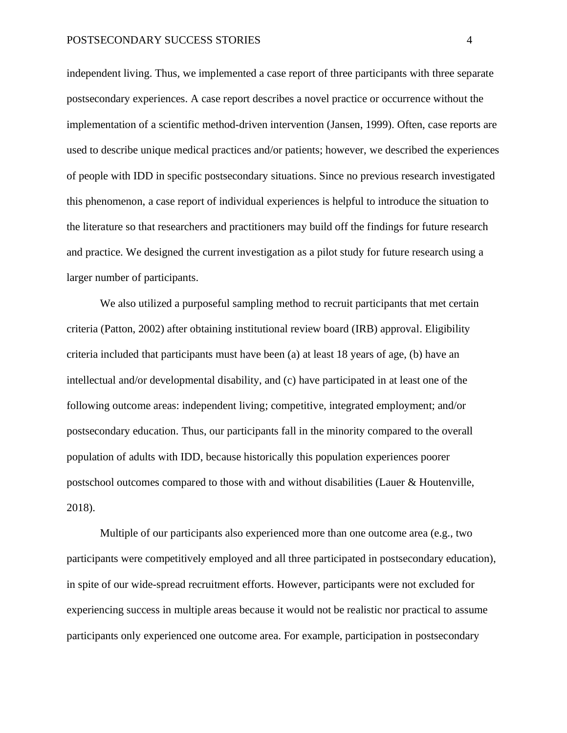independent living. Thus, we implemented a case report of three participants with three separate postsecondary experiences. A case report describes a novel practice or occurrence without the implementation of a scientific method-driven intervention (Jansen, 1999). Often, case reports are used to describe unique medical practices and/or patients; however, we described the experiences of people with IDD in specific postsecondary situations. Since no previous research investigated this phenomenon, a case report of individual experiences is helpful to introduce the situation to the literature so that researchers and practitioners may build off the findings for future research and practice. We designed the current investigation as a pilot study for future research using a larger number of participants.

We also utilized a purposeful sampling method to recruit participants that met certain criteria (Patton, 2002) after obtaining institutional review board (IRB) approval. Eligibility criteria included that participants must have been (a) at least 18 years of age, (b) have an intellectual and/or developmental disability, and (c) have participated in at least one of the following outcome areas: independent living; competitive, integrated employment; and/or postsecondary education. Thus, our participants fall in the minority compared to the overall population of adults with IDD, because historically this population experiences poorer postschool outcomes compared to those with and without disabilities (Lauer & Houtenville, 2018).

Multiple of our participants also experienced more than one outcome area (e.g., two participants were competitively employed and all three participated in postsecondary education), in spite of our wide-spread recruitment efforts. However, participants were not excluded for experiencing success in multiple areas because it would not be realistic nor practical to assume participants only experienced one outcome area. For example, participation in postsecondary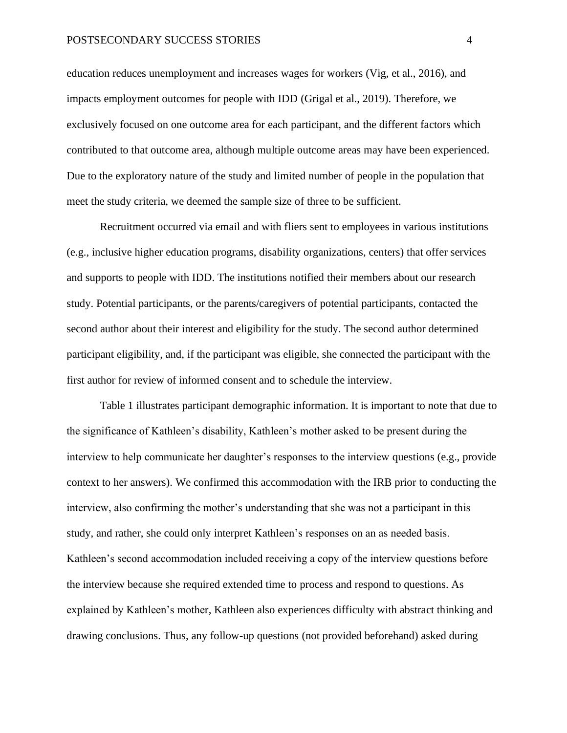# POSTSECONDARY SUCCESS STORIES 4

education reduces unemployment and increases wages for workers (Vig, et al., 2016), and impacts employment outcomes for people with IDD (Grigal et al., 2019). Therefore, we exclusively focused on one outcome area for each participant, and the different factors which contributed to that outcome area, although multiple outcome areas may have been experienced. Due to the exploratory nature of the study and limited number of people in the population that meet the study criteria, we deemed the sample size of three to be sufficient.

Recruitment occurred via email and with fliers sent to employees in various institutions (e.g., inclusive higher education programs, disability organizations, centers) that offer services and supports to people with IDD. The institutions notified their members about our research study. Potential participants, or the parents/caregivers of potential participants, contacted the second author about their interest and eligibility for the study. The second author determined participant eligibility, and, if the participant was eligible, she connected the participant with the first author for review of informed consent and to schedule the interview.

Table 1 illustrates participant demographic information. It is important to note that due to the significance of Kathleen's disability, Kathleen's mother asked to be present during the interview to help communicate her daughter's responses to the interview questions (e.g., provide context to her answers). We confirmed this accommodation with the IRB prior to conducting the interview, also confirming the mother's understanding that she was not a participant in this study, and rather, she could only interpret Kathleen's responses on an as needed basis. Kathleen's second accommodation included receiving a copy of the interview questions before the interview because she required extended time to process and respond to questions. As explained by Kathleen's mother, Kathleen also experiences difficulty with abstract thinking and drawing conclusions. Thus, any follow-up questions (not provided beforehand) asked during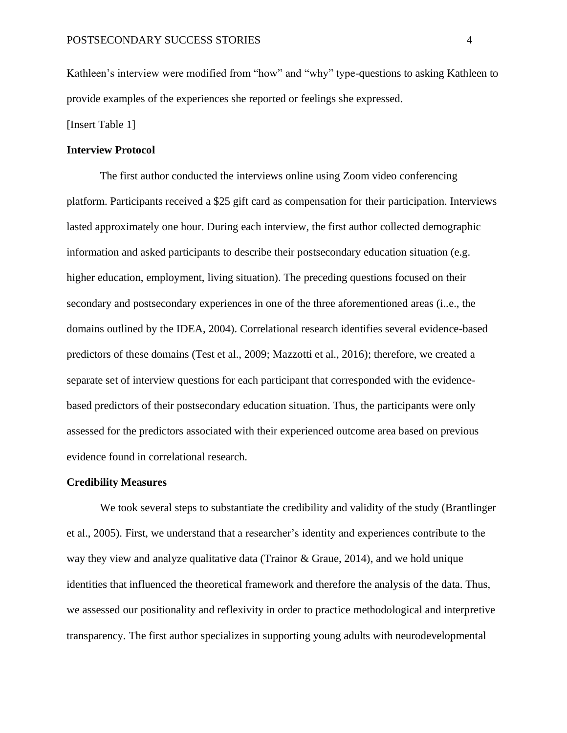Kathleen's interview were modified from "how" and "why" type-questions to asking Kathleen to provide examples of the experiences she reported or feelings she expressed.

[Insert Table 1]

# **Interview Protocol**

The first author conducted the interviews online using Zoom video conferencing platform. Participants received a \$25 gift card as compensation for their participation. Interviews lasted approximately one hour. During each interview, the first author collected demographic information and asked participants to describe their postsecondary education situation (e.g. higher education, employment, living situation). The preceding questions focused on their secondary and postsecondary experiences in one of the three aforementioned areas (i..e., the domains outlined by the IDEA, 2004). Correlational research identifies several evidence-based predictors of these domains (Test et al., 2009; Mazzotti et al., 2016); therefore, we created a separate set of interview questions for each participant that corresponded with the evidencebased predictors of their postsecondary education situation. Thus, the participants were only assessed for the predictors associated with their experienced outcome area based on previous evidence found in correlational research.

#### **Credibility Measures**

We took several steps to substantiate the credibility and validity of the study (Brantlinger et al., 2005). First, we understand that a researcher's identity and experiences contribute to the way they view and analyze qualitative data (Trainor & Graue, 2014), and we hold unique identities that influenced the theoretical framework and therefore the analysis of the data. Thus, we assessed our positionality and reflexivity in order to practice methodological and interpretive transparency. The first author specializes in supporting young adults with neurodevelopmental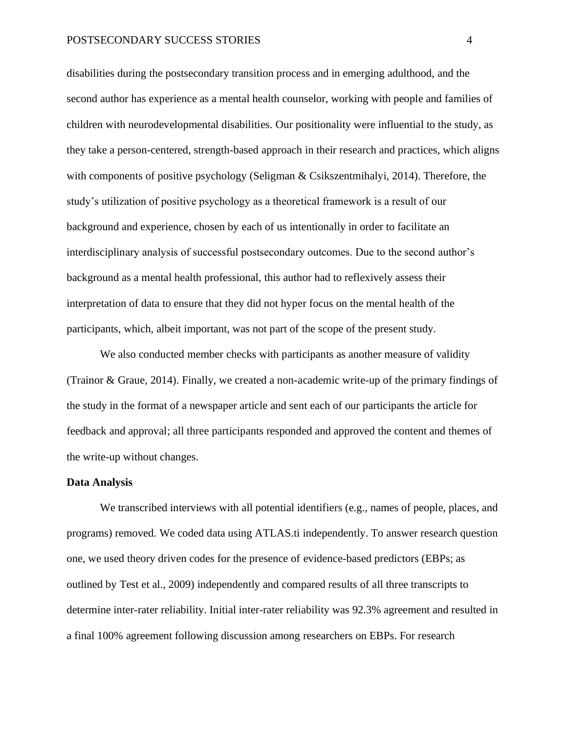disabilities during the postsecondary transition process and in emerging adulthood, and the second author has experience as a mental health counselor, working with people and families of children with neurodevelopmental disabilities. Our positionality were influential to the study, as they take a person-centered, strength-based approach in their research and practices, which aligns with components of positive psychology (Seligman & Csikszentmihalyi, 2014). Therefore, the study's utilization of positive psychology as a theoretical framework is a result of our background and experience, chosen by each of us intentionally in order to facilitate an interdisciplinary analysis of successful postsecondary outcomes. Due to the second author's background as a mental health professional, this author had to reflexively assess their interpretation of data to ensure that they did not hyper focus on the mental health of the participants, which, albeit important, was not part of the scope of the present study.

We also conducted member checks with participants as another measure of validity (Trainor & Graue, 2014). Finally, we created a non-academic write-up of the primary findings of the study in the format of a newspaper article and sent each of our participants the article for feedback and approval; all three participants responded and approved the content and themes of the write-up without changes.

#### **Data Analysis**

We transcribed interviews with all potential identifiers (e.g., names of people, places, and programs) removed. We coded data using ATLAS.ti independently. To answer research question one, we used theory driven codes for the presence of evidence-based predictors (EBPs; as outlined by Test et al., 2009) independently and compared results of all three transcripts to determine inter-rater reliability. Initial inter-rater reliability was 92.3% agreement and resulted in a final 100% agreement following discussion among researchers on EBPs. For research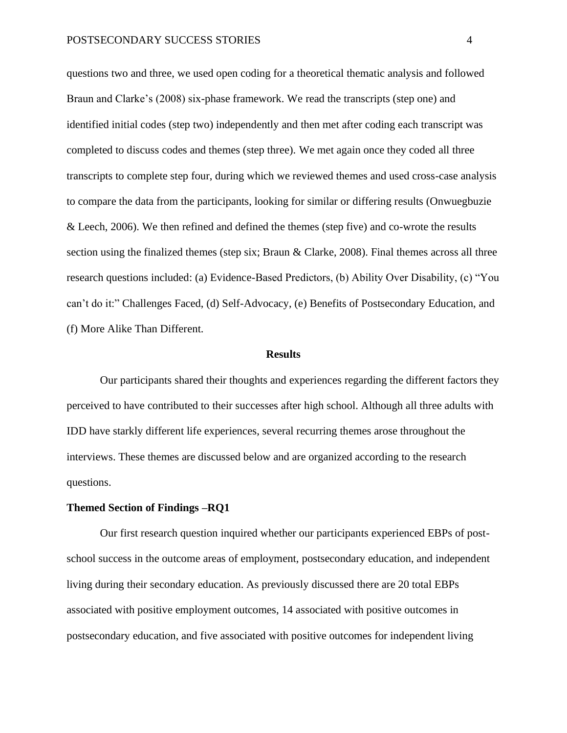questions two and three, we used open coding for a theoretical thematic analysis and followed Braun and Clarke's (2008) six-phase framework. We read the transcripts (step one) and identified initial codes (step two) independently and then met after coding each transcript was completed to discuss codes and themes (step three). We met again once they coded all three transcripts to complete step four, during which we reviewed themes and used cross-case analysis to compare the data from the participants, looking for similar or differing results (Onwuegbuzie & Leech, 2006). We then refined and defined the themes (step five) and co-wrote the results section using the finalized themes (step six; Braun & Clarke, 2008). Final themes across all three research questions included: (a) Evidence-Based Predictors, (b) Ability Over Disability, (c) "You can't do it:" Challenges Faced, (d) Self-Advocacy, (e) Benefits of Postsecondary Education, and (f) More Alike Than Different.

#### **Results**

Our participants shared their thoughts and experiences regarding the different factors they perceived to have contributed to their successes after high school. Although all three adults with IDD have starkly different life experiences, several recurring themes arose throughout the interviews. These themes are discussed below and are organized according to the research questions.

## **Themed Section of Findings –RQ1**

Our first research question inquired whether our participants experienced EBPs of postschool success in the outcome areas of employment, postsecondary education, and independent living during their secondary education. As previously discussed there are 20 total EBPs associated with positive employment outcomes, 14 associated with positive outcomes in postsecondary education, and five associated with positive outcomes for independent living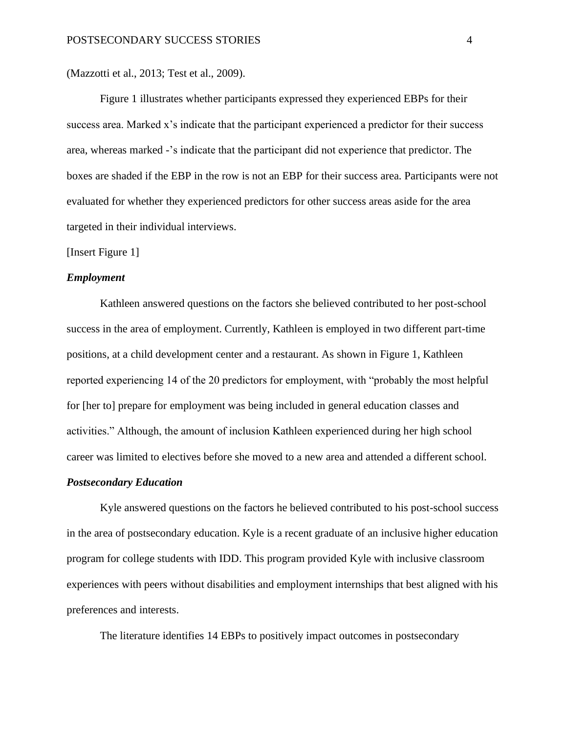(Mazzotti et al., 2013; Test et al., 2009).

Figure 1 illustrates whether participants expressed they experienced EBPs for their success area. Marked x's indicate that the participant experienced a predictor for their success area, whereas marked -'s indicate that the participant did not experience that predictor. The boxes are shaded if the EBP in the row is not an EBP for their success area. Participants were not evaluated for whether they experienced predictors for other success areas aside for the area targeted in their individual interviews.

#### [Insert Figure 1]

#### *Employment*

Kathleen answered questions on the factors she believed contributed to her post-school success in the area of employment. Currently, Kathleen is employed in two different part-time positions, at a child development center and a restaurant. As shown in Figure 1, Kathleen reported experiencing 14 of the 20 predictors for employment, with "probably the most helpful for [her to] prepare for employment was being included in general education classes and activities." Although, the amount of inclusion Kathleen experienced during her high school career was limited to electives before she moved to a new area and attended a different school.

#### *Postsecondary Education*

Kyle answered questions on the factors he believed contributed to his post-school success in the area of postsecondary education. Kyle is a recent graduate of an inclusive higher education program for college students with IDD. This program provided Kyle with inclusive classroom experiences with peers without disabilities and employment internships that best aligned with his preferences and interests.

The literature identifies 14 EBPs to positively impact outcomes in postsecondary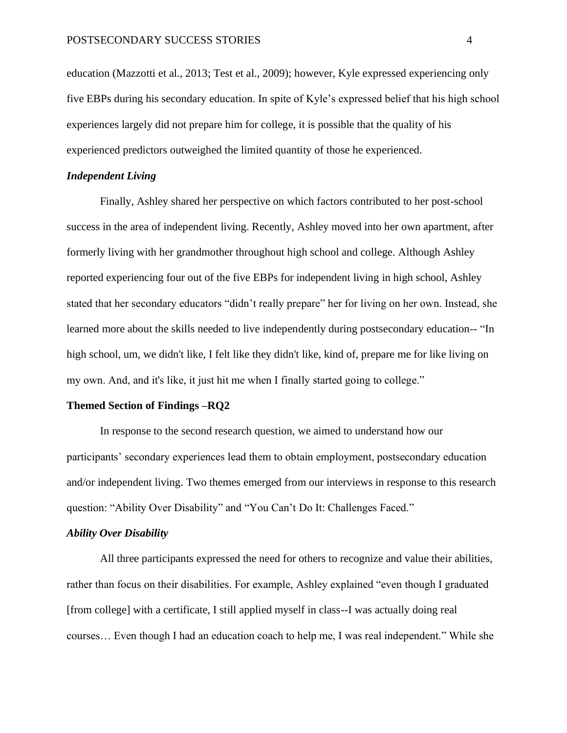education (Mazzotti et al., 2013; Test et al., 2009); however, Kyle expressed experiencing only five EBPs during his secondary education. In spite of Kyle's expressed belief that his high school experiences largely did not prepare him for college, it is possible that the quality of his experienced predictors outweighed the limited quantity of those he experienced.

# *Independent Living*

Finally, Ashley shared her perspective on which factors contributed to her post-school success in the area of independent living. Recently, Ashley moved into her own apartment, after formerly living with her grandmother throughout high school and college. Although Ashley reported experiencing four out of the five EBPs for independent living in high school, Ashley stated that her secondary educators "didn't really prepare" her for living on her own. Instead, she learned more about the skills needed to live independently during postsecondary education-- "In high school, um, we didn't like, I felt like they didn't like, kind of, prepare me for like living on my own. And, and it's like, it just hit me when I finally started going to college."

# **Themed Section of Findings –RQ2**

In response to the second research question, we aimed to understand how our participants' secondary experiences lead them to obtain employment, postsecondary education and/or independent living. Two themes emerged from our interviews in response to this research question: "Ability Over Disability" and "You Can't Do It: Challenges Faced."

# *Ability Over Disability*

All three participants expressed the need for others to recognize and value their abilities, rather than focus on their disabilities. For example, Ashley explained "even though I graduated [from college] with a certificate, I still applied myself in class--I was actually doing real courses… Even though I had an education coach to help me, I was real independent." While she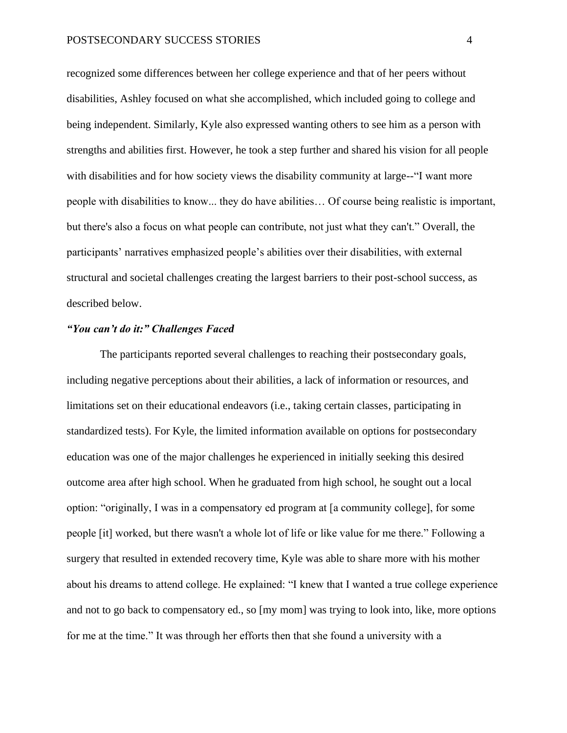recognized some differences between her college experience and that of her peers without disabilities, Ashley focused on what she accomplished, which included going to college and being independent. Similarly, Kyle also expressed wanting others to see him as a person with strengths and abilities first. However, he took a step further and shared his vision for all people with disabilities and for how society views the disability community at large--"I want more people with disabilities to know... they do have abilities… Of course being realistic is important, but there's also a focus on what people can contribute, not just what they can't." Overall, the participants' narratives emphasized people's abilities over their disabilities, with external structural and societal challenges creating the largest barriers to their post-school success, as described below.

# *"You can't do it:" Challenges Faced*

The participants reported several challenges to reaching their postsecondary goals, including negative perceptions about their abilities, a lack of information or resources, and limitations set on their educational endeavors (i.e., taking certain classes, participating in standardized tests). For Kyle, the limited information available on options for postsecondary education was one of the major challenges he experienced in initially seeking this desired outcome area after high school. When he graduated from high school, he sought out a local option: "originally, I was in a compensatory ed program at [a community college], for some people [it] worked, but there wasn't a whole lot of life or like value for me there." Following a surgery that resulted in extended recovery time, Kyle was able to share more with his mother about his dreams to attend college. He explained: "I knew that I wanted a true college experience and not to go back to compensatory ed., so [my mom] was trying to look into, like, more options for me at the time." It was through her efforts then that she found a university with a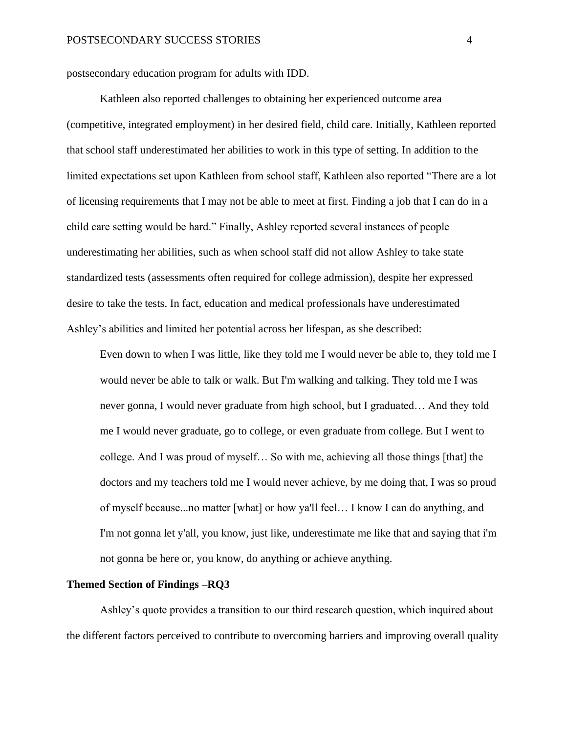postsecondary education program for adults with IDD.

Kathleen also reported challenges to obtaining her experienced outcome area (competitive, integrated employment) in her desired field, child care. Initially, Kathleen reported that school staff underestimated her abilities to work in this type of setting. In addition to the limited expectations set upon Kathleen from school staff, Kathleen also reported "There are a lot of licensing requirements that I may not be able to meet at first. Finding a job that I can do in a child care setting would be hard." Finally, Ashley reported several instances of people underestimating her abilities, such as when school staff did not allow Ashley to take state standardized tests (assessments often required for college admission), despite her expressed desire to take the tests. In fact, education and medical professionals have underestimated Ashley's abilities and limited her potential across her lifespan, as she described:

Even down to when I was little, like they told me I would never be able to, they told me I would never be able to talk or walk. But I'm walking and talking. They told me I was never gonna, I would never graduate from high school, but I graduated… And they told me I would never graduate, go to college, or even graduate from college. But I went to college. And I was proud of myself… So with me, achieving all those things [that] the doctors and my teachers told me I would never achieve, by me doing that, I was so proud of myself because...no matter [what] or how ya'll feel… I know I can do anything, and I'm not gonna let y'all, you know, just like, underestimate me like that and saying that i'm not gonna be here or, you know, do anything or achieve anything.

#### **Themed Section of Findings –RQ3**

Ashley's quote provides a transition to our third research question, which inquired about the different factors perceived to contribute to overcoming barriers and improving overall quality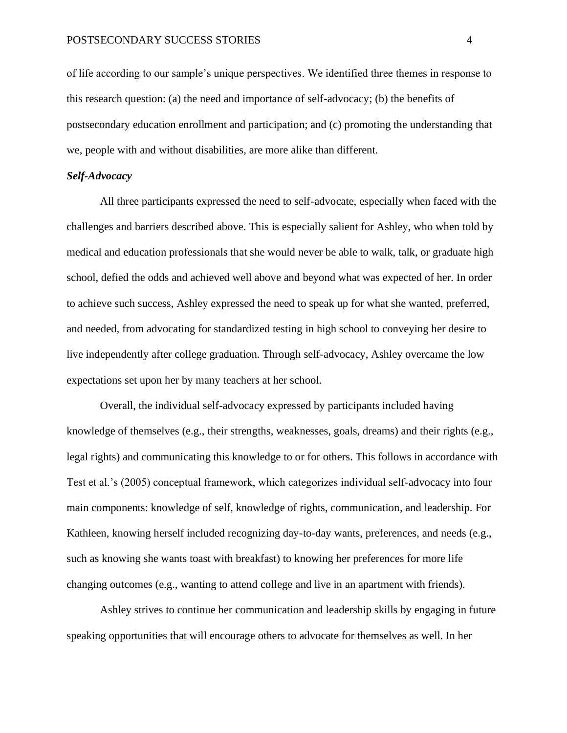of life according to our sample's unique perspectives. We identified three themes in response to this research question: (a) the need and importance of self-advocacy; (b) the benefits of postsecondary education enrollment and participation; and (c) promoting the understanding that we, people with and without disabilities, are more alike than different.

# *Self-Advocacy*

All three participants expressed the need to self-advocate, especially when faced with the challenges and barriers described above. This is especially salient for Ashley, who when told by medical and education professionals that she would never be able to walk, talk, or graduate high school, defied the odds and achieved well above and beyond what was expected of her. In order to achieve such success, Ashley expressed the need to speak up for what she wanted, preferred, and needed, from advocating for standardized testing in high school to conveying her desire to live independently after college graduation. Through self-advocacy, Ashley overcame the low expectations set upon her by many teachers at her school.

Overall, the individual self-advocacy expressed by participants included having knowledge of themselves (e.g., their strengths, weaknesses, goals, dreams) and their rights (e.g., legal rights) and communicating this knowledge to or for others. This follows in accordance with Test et al.'s (2005) conceptual framework, which categorizes individual self-advocacy into four main components: knowledge of self, knowledge of rights, communication, and leadership. For Kathleen, knowing herself included recognizing day-to-day wants, preferences, and needs (e.g., such as knowing she wants toast with breakfast) to knowing her preferences for more life changing outcomes (e.g., wanting to attend college and live in an apartment with friends).

Ashley strives to continue her communication and leadership skills by engaging in future speaking opportunities that will encourage others to advocate for themselves as well. In her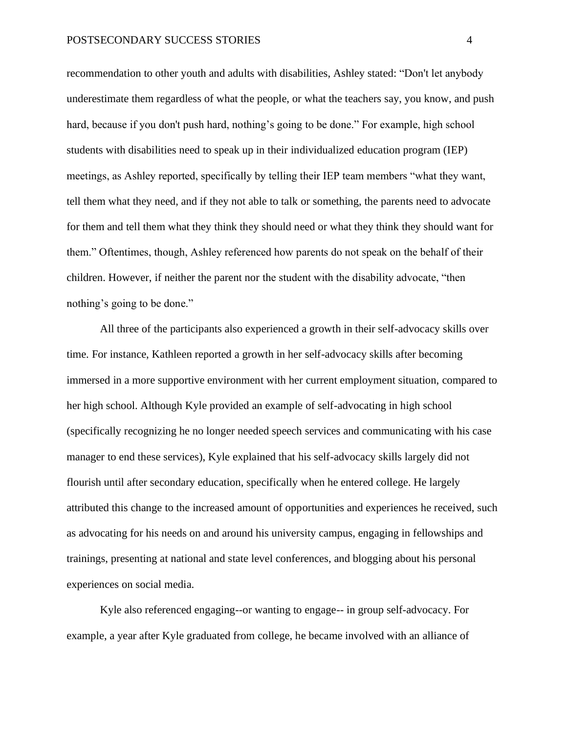recommendation to other youth and adults with disabilities, Ashley stated: "Don't let anybody underestimate them regardless of what the people, or what the teachers say, you know, and push hard, because if you don't push hard, nothing's going to be done." For example, high school students with disabilities need to speak up in their individualized education program (IEP) meetings, as Ashley reported, specifically by telling their IEP team members "what they want, tell them what they need, and if they not able to talk or something, the parents need to advocate for them and tell them what they think they should need or what they think they should want for them." Oftentimes, though, Ashley referenced how parents do not speak on the behalf of their children. However, if neither the parent nor the student with the disability advocate, "then nothing's going to be done."

All three of the participants also experienced a growth in their self-advocacy skills over time. For instance, Kathleen reported a growth in her self-advocacy skills after becoming immersed in a more supportive environment with her current employment situation, compared to her high school. Although Kyle provided an example of self-advocating in high school (specifically recognizing he no longer needed speech services and communicating with his case manager to end these services), Kyle explained that his self-advocacy skills largely did not flourish until after secondary education, specifically when he entered college. He largely attributed this change to the increased amount of opportunities and experiences he received, such as advocating for his needs on and around his university campus, engaging in fellowships and trainings, presenting at national and state level conferences, and blogging about his personal experiences on social media.

Kyle also referenced engaging--or wanting to engage-- in group self-advocacy. For example, a year after Kyle graduated from college, he became involved with an alliance of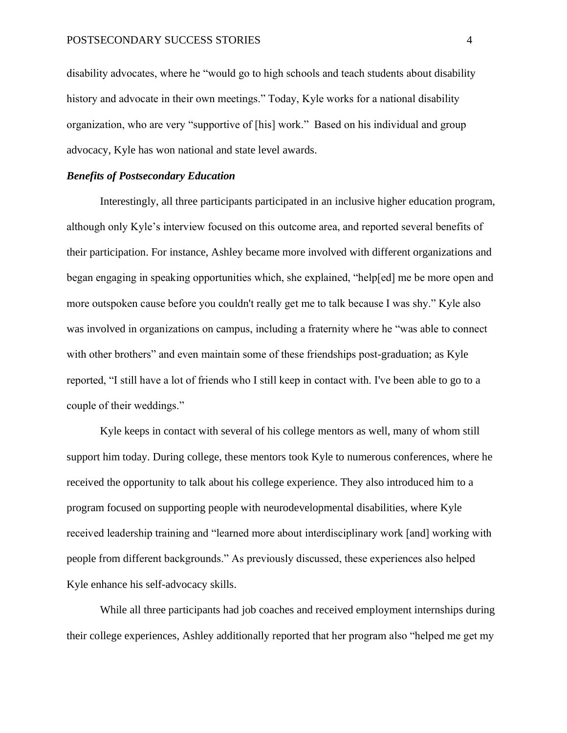disability advocates, where he "would go to high schools and teach students about disability history and advocate in their own meetings." Today, Kyle works for a national disability organization, who are very "supportive of [his] work." Based on his individual and group advocacy, Kyle has won national and state level awards.

# *Benefits of Postsecondary Education*

Interestingly, all three participants participated in an inclusive higher education program, although only Kyle's interview focused on this outcome area, and reported several benefits of their participation. For instance, Ashley became more involved with different organizations and began engaging in speaking opportunities which, she explained, "help[ed] me be more open and more outspoken cause before you couldn't really get me to talk because I was shy." Kyle also was involved in organizations on campus, including a fraternity where he "was able to connect with other brothers" and even maintain some of these friendships post-graduation; as Kyle reported, "I still have a lot of friends who I still keep in contact with. I've been able to go to a couple of their weddings."

Kyle keeps in contact with several of his college mentors as well, many of whom still support him today. During college, these mentors took Kyle to numerous conferences, where he received the opportunity to talk about his college experience. They also introduced him to a program focused on supporting people with neurodevelopmental disabilities, where Kyle received leadership training and "learned more about interdisciplinary work [and] working with people from different backgrounds." As previously discussed, these experiences also helped Kyle enhance his self-advocacy skills.

While all three participants had job coaches and received employment internships during their college experiences, Ashley additionally reported that her program also "helped me get my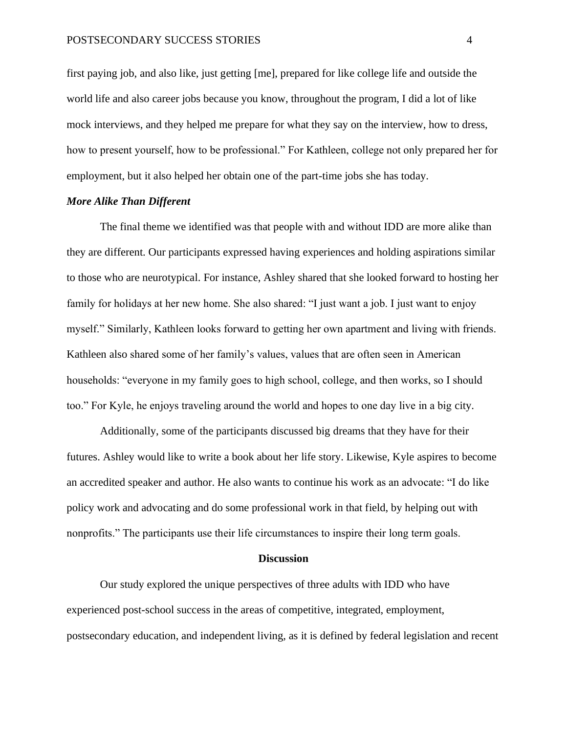first paying job, and also like, just getting [me], prepared for like college life and outside the world life and also career jobs because you know, throughout the program, I did a lot of like mock interviews, and they helped me prepare for what they say on the interview, how to dress, how to present yourself, how to be professional." For Kathleen, college not only prepared her for employment, but it also helped her obtain one of the part-time jobs she has today.

#### *More Alike Than Different*

The final theme we identified was that people with and without IDD are more alike than they are different. Our participants expressed having experiences and holding aspirations similar to those who are neurotypical. For instance, Ashley shared that she looked forward to hosting her family for holidays at her new home. She also shared: "I just want a job. I just want to enjoy myself." Similarly, Kathleen looks forward to getting her own apartment and living with friends. Kathleen also shared some of her family's values, values that are often seen in American households: "everyone in my family goes to high school, college, and then works, so I should too." For Kyle, he enjoys traveling around the world and hopes to one day live in a big city.

Additionally, some of the participants discussed big dreams that they have for their futures. Ashley would like to write a book about her life story. Likewise, Kyle aspires to become an accredited speaker and author. He also wants to continue his work as an advocate: "I do like policy work and advocating and do some professional work in that field, by helping out with nonprofits." The participants use their life circumstances to inspire their long term goals.

#### **Discussion**

Our study explored the unique perspectives of three adults with IDD who have experienced post-school success in the areas of competitive, integrated, employment, postsecondary education, and independent living, as it is defined by federal legislation and recent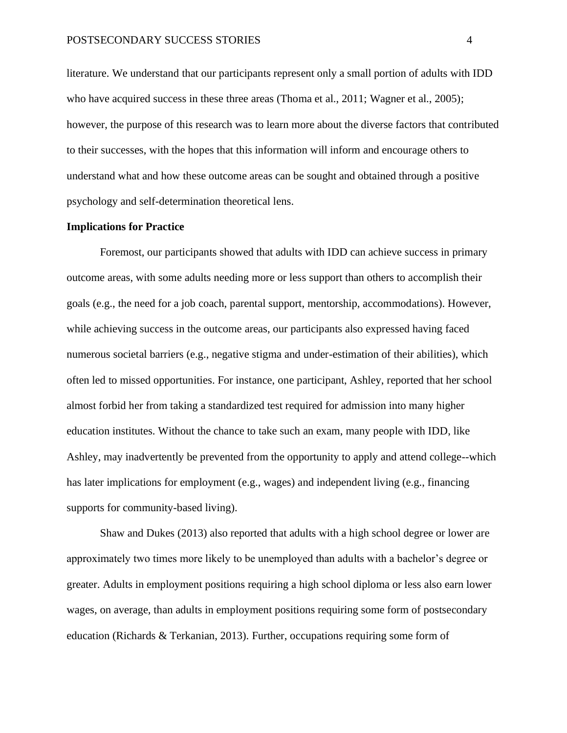literature. We understand that our participants represent only a small portion of adults with IDD who have acquired success in these three areas (Thoma et al., 2011; Wagner et al., 2005); however, the purpose of this research was to learn more about the diverse factors that contributed to their successes, with the hopes that this information will inform and encourage others to understand what and how these outcome areas can be sought and obtained through a positive psychology and self-determination theoretical lens.

#### **Implications for Practice**

Foremost, our participants showed that adults with IDD can achieve success in primary outcome areas, with some adults needing more or less support than others to accomplish their goals (e.g., the need for a job coach, parental support, mentorship, accommodations). However, while achieving success in the outcome areas, our participants also expressed having faced numerous societal barriers (e.g., negative stigma and under-estimation of their abilities), which often led to missed opportunities. For instance, one participant, Ashley, reported that her school almost forbid her from taking a standardized test required for admission into many higher education institutes. Without the chance to take such an exam, many people with IDD, like Ashley, may inadvertently be prevented from the opportunity to apply and attend college--which has later implications for employment (e.g., wages) and independent living (e.g., financing supports for community-based living).

Shaw and Dukes (2013) also reported that adults with a high school degree or lower are approximately two times more likely to be unemployed than adults with a bachelor's degree or greater. Adults in employment positions requiring a high school diploma or less also earn lower wages, on average, than adults in employment positions requiring some form of postsecondary education (Richards & Terkanian, 2013). Further, occupations requiring some form of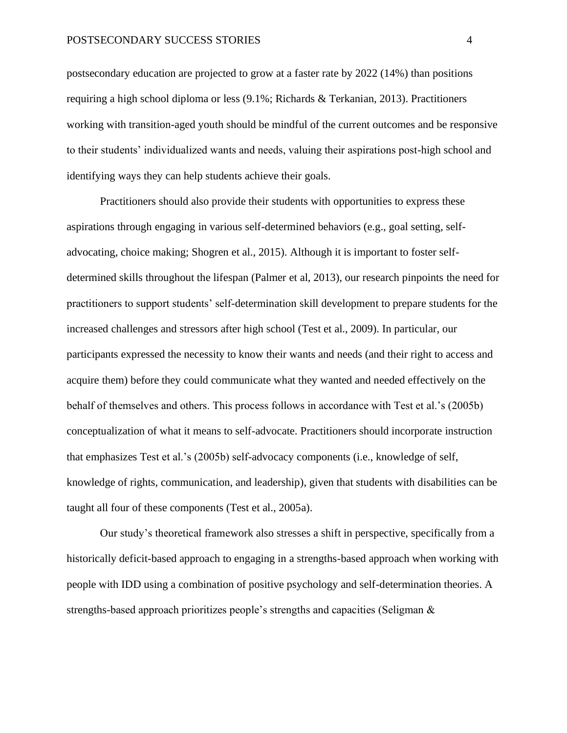# POSTSECONDARY SUCCESS STORIES 4

postsecondary education are projected to grow at a faster rate by 2022 (14%) than positions requiring a high school diploma or less (9.1%; Richards & Terkanian, 2013). Practitioners working with transition-aged youth should be mindful of the current outcomes and be responsive to their students' individualized wants and needs, valuing their aspirations post-high school and identifying ways they can help students achieve their goals.

Practitioners should also provide their students with opportunities to express these aspirations through engaging in various self-determined behaviors (e.g., goal setting, selfadvocating, choice making; Shogren et al., 2015). Although it is important to foster selfdetermined skills throughout the lifespan (Palmer et al, 2013), our research pinpoints the need for practitioners to support students' self-determination skill development to prepare students for the increased challenges and stressors after high school (Test et al., 2009). In particular, our participants expressed the necessity to know their wants and needs (and their right to access and acquire them) before they could communicate what they wanted and needed effectively on the behalf of themselves and others. This process follows in accordance with Test et al.'s (2005b) conceptualization of what it means to self-advocate. Practitioners should incorporate instruction that emphasizes Test et al.'s (2005b) self-advocacy components (i.e., knowledge of self, knowledge of rights, communication, and leadership), given that students with disabilities can be taught all four of these components (Test et al., 2005a).

Our study's theoretical framework also stresses a shift in perspective, specifically from a historically deficit-based approach to engaging in a strengths-based approach when working with people with IDD using a combination of positive psychology and self-determination theories. A strengths-based approach prioritizes people's strengths and capacities (Seligman &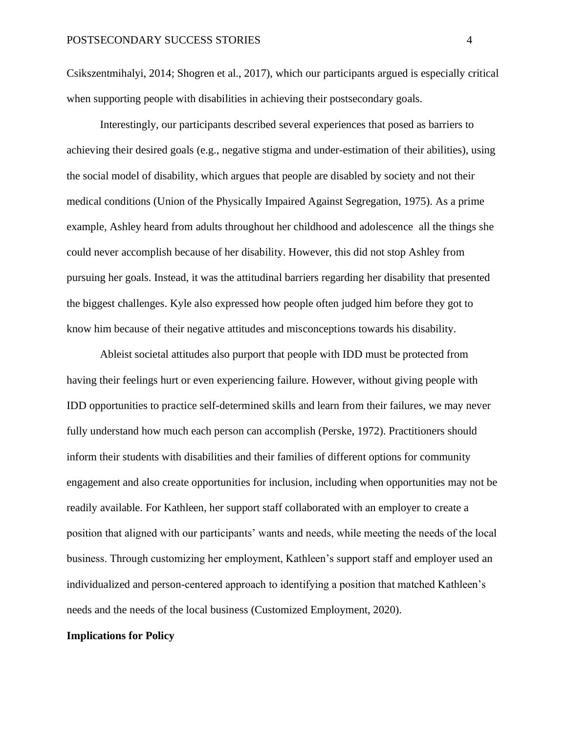Csikszentmihalyi, 2014; Shogren et al., 2017), which our participants argued is especially critical when supporting people with disabilities in achieving their postsecondary goals.

Interestingly, our participants described several experiences that posed as barriers to achieving their desired goals (e.g., negative stigma and under-estimation of their abilities), using the social model of disability, which argues that people are disabled by society and not their medical conditions (Union of the Physically Impaired Against Segregation, 1975). As a prime example, Ashley heard from adults throughout her childhood and adolescence all the things she could never accomplish because of her disability. However, this did not stop Ashley from pursuing her goals. Instead, it was the attitudinal barriers regarding her disability that presented the biggest challenges. Kyle also expressed how people often judged him before they got to know him because of their negative attitudes and misconceptions towards his disability.

Ableist societal attitudes also purport that people with IDD must be protected from having their feelings hurt or even experiencing failure. However, without giving people with IDD opportunities to practice self-determined skills and learn from their failures, we may never fully understand how much each person can accomplish (Perske, 1972). Practitioners should inform their students with disabilities and their families of different options for community engagement and also create opportunities for inclusion, including when opportunities may not be readily available. For Kathleen, her support staff collaborated with an employer to create a position that aligned with our participants' wants and needs, while meeting the needs of the local business. Through customizing her employment, Kathleen's support staff and employer used an individualized and person-centered approach to identifying a position that matched Kathleen's needs and the needs of the local business (Customized Employment, 2020).

# **Implications for Policy**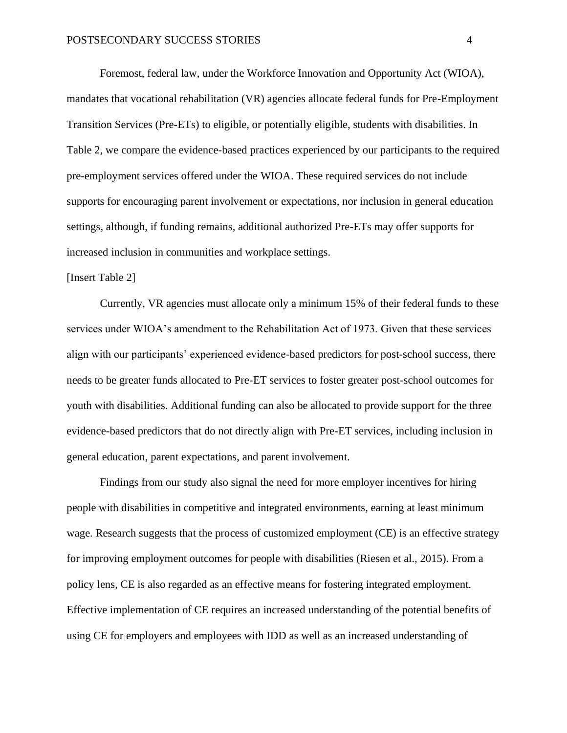Foremost, federal law, under the Workforce Innovation and Opportunity Act (WIOA), mandates that vocational rehabilitation (VR) agencies allocate federal funds for Pre-Employment Transition Services (Pre-ETs) to eligible, or potentially eligible, students with disabilities. In Table 2, we compare the evidence-based practices experienced by our participants to the required pre-employment services offered under the WIOA. These required services do not include supports for encouraging parent involvement or expectations, nor inclusion in general education settings, although, if funding remains, additional authorized Pre-ETs may offer supports for increased inclusion in communities and workplace settings.

# [Insert Table 2]

Currently, VR agencies must allocate only a minimum 15% of their federal funds to these services under WIOA's amendment to the Rehabilitation Act of 1973. Given that these services align with our participants' experienced evidence-based predictors for post-school success, there needs to be greater funds allocated to Pre-ET services to foster greater post-school outcomes for youth with disabilities. Additional funding can also be allocated to provide support for the three evidence-based predictors that do not directly align with Pre-ET services, including inclusion in general education, parent expectations, and parent involvement.

Findings from our study also signal the need for more employer incentives for hiring people with disabilities in competitive and integrated environments, earning at least minimum wage. Research suggests that the process of customized employment (CE) is an effective strategy for improving employment outcomes for people with disabilities (Riesen et al., 2015). From a policy lens, CE is also regarded as an effective means for fostering integrated employment. Effective implementation of CE requires an increased understanding of the potential benefits of using CE for employers and employees with IDD as well as an increased understanding of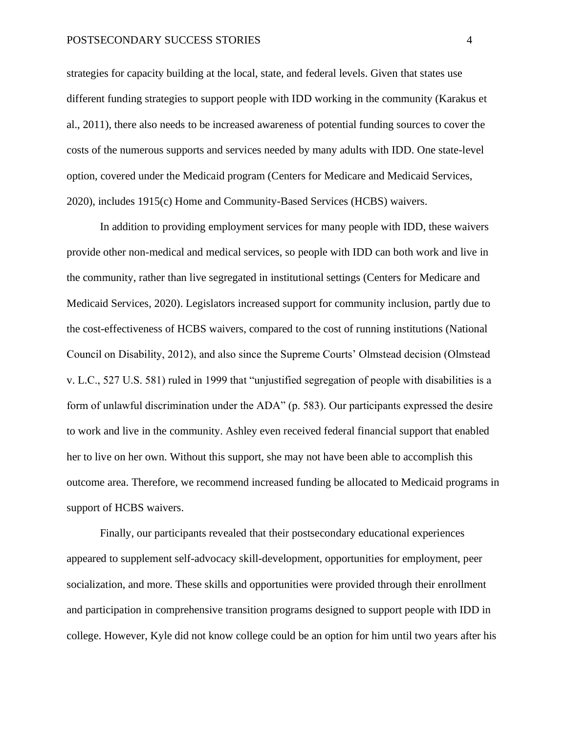## POSTSECONDARY SUCCESS STORIES 4

strategies for capacity building at the local, state, and federal levels. Given that states use different funding strategies to support people with IDD working in the community (Karakus et al., 2011), there also needs to be increased awareness of potential funding sources to cover the costs of the numerous supports and services needed by many adults with IDD. One state-level option, covered under the Medicaid program (Centers for Medicare and Medicaid Services, 2020), includes 1915(c) Home and Community-Based Services (HCBS) waivers.

In addition to providing employment services for many people with IDD, these waivers provide other non-medical and medical services, so people with IDD can both work and live in the community, rather than live segregated in institutional settings (Centers for Medicare and Medicaid Services, 2020). Legislators increased support for community inclusion, partly due to the cost-effectiveness of HCBS waivers, compared to the cost of running institutions (National Council on Disability, 2012), and also since the Supreme Courts' Olmstead decision (Olmstead v. L.C., 527 U.S. 581) ruled in 1999 that "unjustified segregation of people with disabilities is a form of unlawful discrimination under the ADA" (p. 583). Our participants expressed the desire to work and live in the community. Ashley even received federal financial support that enabled her to live on her own. Without this support, she may not have been able to accomplish this outcome area. Therefore, we recommend increased funding be allocated to Medicaid programs in support of HCBS waivers.

Finally, our participants revealed that their postsecondary educational experiences appeared to supplement self-advocacy skill-development, opportunities for employment, peer socialization, and more. These skills and opportunities were provided through their enrollment and participation in comprehensive transition programs designed to support people with IDD in college. However, Kyle did not know college could be an option for him until two years after his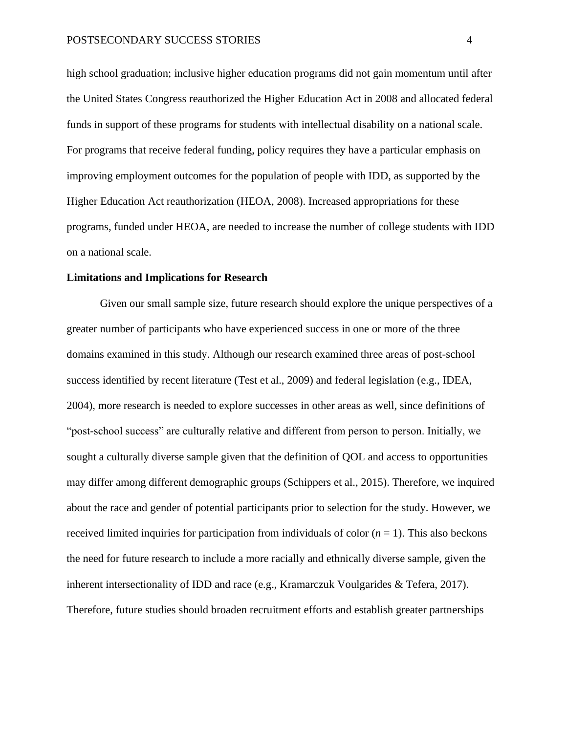high school graduation; inclusive higher education programs did not gain momentum until after the United States Congress reauthorized the Higher Education Act in 2008 and allocated federal funds in support of these programs for students with intellectual disability on a national scale. For programs that receive federal funding, policy requires they have a particular emphasis on improving employment outcomes for the population of people with IDD, as supported by the Higher Education Act reauthorization (HEOA, 2008). Increased appropriations for these programs, funded under HEOA, are needed to increase the number of college students with IDD on a national scale.

#### **Limitations and Implications for Research**

Given our small sample size, future research should explore the unique perspectives of a greater number of participants who have experienced success in one or more of the three domains examined in this study. Although our research examined three areas of post-school success identified by recent literature (Test et al., 2009) and federal legislation (e.g., IDEA, 2004), more research is needed to explore successes in other areas as well, since definitions of "post-school success" are culturally relative and different from person to person. Initially, we sought a culturally diverse sample given that the definition of QOL and access to opportunities may differ among different demographic groups (Schippers et al., 2015). Therefore, we inquired about the race and gender of potential participants prior to selection for the study. However, we received limited inquiries for participation from individuals of color  $(n = 1)$ . This also beckons the need for future research to include a more racially and ethnically diverse sample, given the inherent intersectionality of IDD and race (e.g., Kramarczuk Voulgarides & Tefera, 2017). Therefore, future studies should broaden recruitment efforts and establish greater partnerships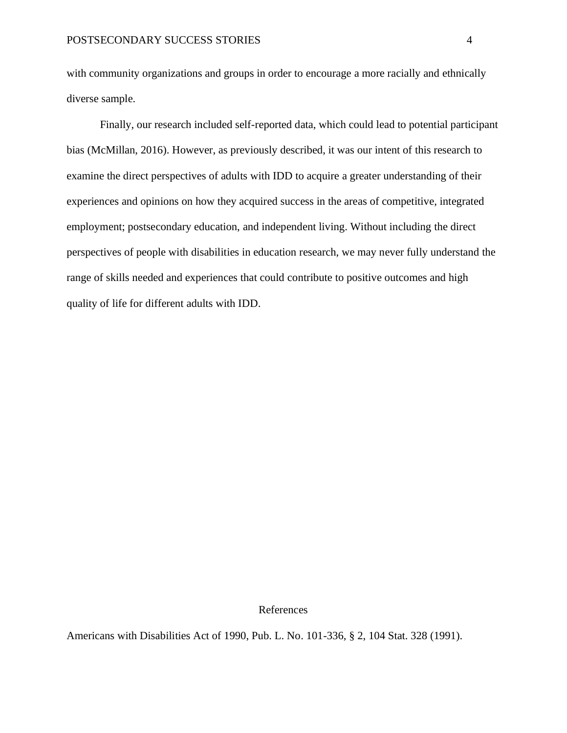with community organizations and groups in order to encourage a more racially and ethnically diverse sample.

Finally, our research included self-reported data, which could lead to potential participant bias (McMillan, 2016). However, as previously described, it was our intent of this research to examine the direct perspectives of adults with IDD to acquire a greater understanding of their experiences and opinions on how they acquired success in the areas of competitive, integrated employment; postsecondary education, and independent living. Without including the direct perspectives of people with disabilities in education research, we may never fully understand the range of skills needed and experiences that could contribute to positive outcomes and high quality of life for different adults with IDD.

References

Americans with Disabilities Act of 1990, Pub. L. No. 101-336, § 2, 104 Stat. 328 (1991).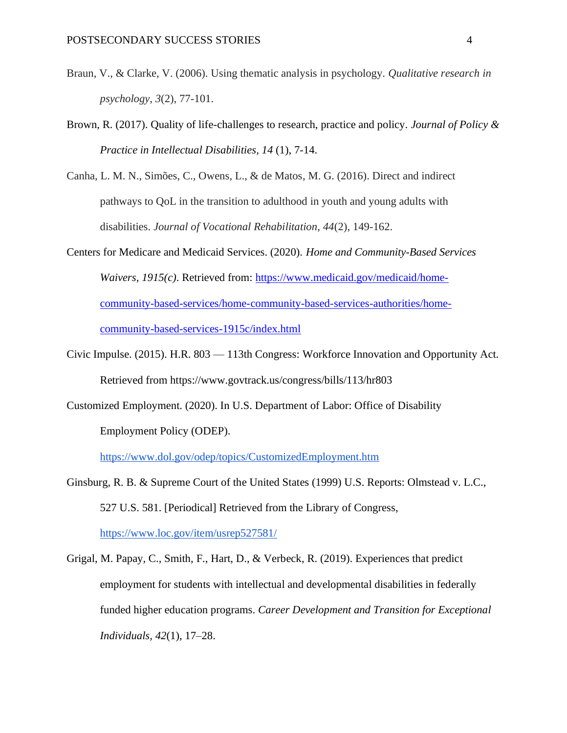- Braun, V., & Clarke, V. (2006). Using thematic analysis in psychology. *Qualitative research in psychology*, *3*(2), 77-101.
- Brown, R. (2017). Quality of life-challenges to research, practice and policy. *Journal of Policy & Practice in Intellectual Disabilities, 14* (1), 7-14.
- Canha, L. M. N., Simões, C., Owens, L., & de Matos, M. G. (2016). Direct and indirect pathways to QoL in the transition to adulthood in youth and young adults with disabilities. *Journal of Vocational Rehabilitation*, *44*(2), 149-162.
- Centers for Medicare and Medicaid Services. (2020). *Home and Community-Based Services Waivers, 1915(c)*. Retrieved from: [https://www.medicaid.gov/medicaid/home](about:blank)[community-based-services/home-community-based-services-authorities/home](about:blank)[community-based-services-1915c/index.html](about:blank)
- Civic Impulse. (2015). H.R. 803 113th Congress: Workforce Innovation and Opportunity Act. Retrieved from https://www.govtrack.us/congress/bills/113/hr803
- Customized Employment. (2020). In U.S. Department of Labor: Office of Disability Employment Policy (ODEP).

[https://www.dol.gov/odep/topics/CustomizedEmployment.htm](about:blank)

Ginsburg, R. B. & Supreme Court of the United States (1999) U.S. Reports: Olmstead v. L.C., 527 U.S. 581. [Periodical] Retrieved from the Library of Congress, [https://www.loc.gov/item/usrep527581/](about:blank)

Grigal, M. Papay, C., Smith, F., Hart, D., & Verbeck, R. (2019). Experiences that predict employment for students with intellectual and developmental disabilities in federally funded higher education programs. *Career Development and Transition for Exceptional Individuals, 42*(1), 17–28.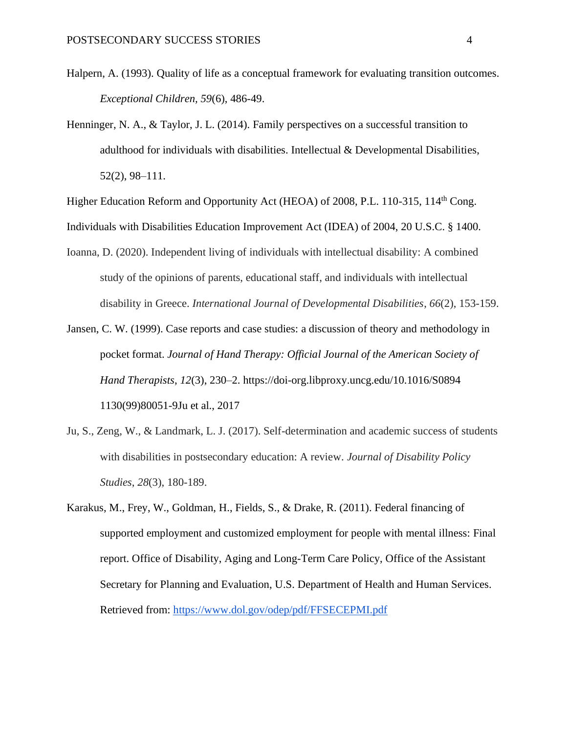- Halpern, A. (1993). Quality of life as a conceptual framework for evaluating transition outcomes. *Exceptional Children, 59*(6), 486-49.
- Henninger, N. A., & Taylor, J. L. (2014). Family perspectives on a successful transition to adulthood for individuals with disabilities. Intellectual & Developmental Disabilities, 52(2), 98–111.

Higher Education Reform and Opportunity Act (HEOA) of 2008, P.L. 110-315, 114<sup>th</sup> Cong.

Individuals with Disabilities Education Improvement Act (IDEA) of 2004, 20 U.S.C. § 1400.

- Ioanna, D. (2020). Independent living of individuals with intellectual disability: A combined study of the opinions of parents, educational staff, and individuals with intellectual disability in Greece. *International Journal of Developmental Disabilities*, *66*(2), 153-159.
- Jansen, C. W. (1999). Case reports and case studies: a discussion of theory and methodology in pocket format. *Journal of Hand Therapy: Official Journal of the American Society of Hand Therapists*, *12*(3), 230–2. https://doi-org.libproxy.uncg.edu/10.1016/S0894 1130(99)80051-9Ju et al., 2017
- Ju, S., Zeng, W., & Landmark, L. J. (2017). Self-determination and academic success of students with disabilities in postsecondary education: A review. *Journal of Disability Policy Studies*, *28*(3), 180-189.
- Karakus, M., Frey, W., Goldman, H., Fields, S., & Drake, R. (2011). Federal financing of supported employment and customized employment for people with mental illness: Final report. Office of Disability, Aging and Long-Term Care Policy, Office of the Assistant Secretary for Planning and Evaluation, U.S. Department of Health and Human Services. Retrieved from: [https://www.dol.gov/odep/pdf/FFSECEPMI.pdf](about:blank)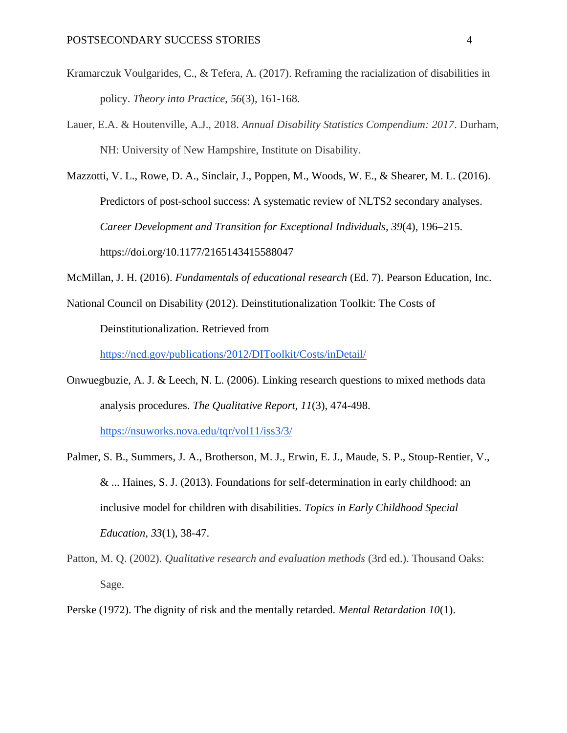- Kramarczuk Voulgarides, C., & Tefera, A. (2017). Reframing the racialization of disabilities in policy. *Theory into Practice*, *56*(3), 161-168.
- Lauer, E.A. & Houtenville, A.J., 2018. *Annual Disability Statistics Compendium: 2017*. Durham, NH: University of New Hampshire, Institute on Disability.
- Mazzotti, V. L., Rowe, D. A., Sinclair, J., Poppen, M., Woods, W. E., & Shearer, M. L. (2016). Predictors of post-school success: A systematic review of NLTS2 secondary analyses. *Career Development and Transition for Exceptional Individuals, 39*(4), 196–215. https://doi.org/10.1177/2165143415588047
- McMillan, J. H. (2016). *Fundamentals of educational research* (Ed. 7). Pearson Education, Inc.
- National Council on Disability (2012). Deinstitutionalization Toolkit: The Costs of Deinstitutionalization. Retrieved from [https://ncd.gov/publications/2012/DIToolkit/Costs/inDetail/](about:blank)
- Onwuegbuzie, A. J. & Leech, N. L. (2006). Linking research questions to mixed methods data analysis procedures. *The Qualitative Report, 11*(3), 474-498. [https://nsuworks.nova.edu/tqr/vol11/iss3/3/](about:blank)
- Palmer, S. B., Summers, J. A., Brotherson, M. J., Erwin, E. J., Maude, S. P., Stoup-Rentier, V., & ... Haines, S. J. (2013). Foundations for self-determination in early childhood: an inclusive model for children with disabilities. *Topics in Early Childhood Special Education, 33*(1), 38-47.
- Patton, M. Q. (2002). *Qualitative research and evaluation methods* (3rd ed.). Thousand Oaks: Sage.
- Perske (1972). The dignity of risk and the mentally retarded. *Mental Retardation 10*(1).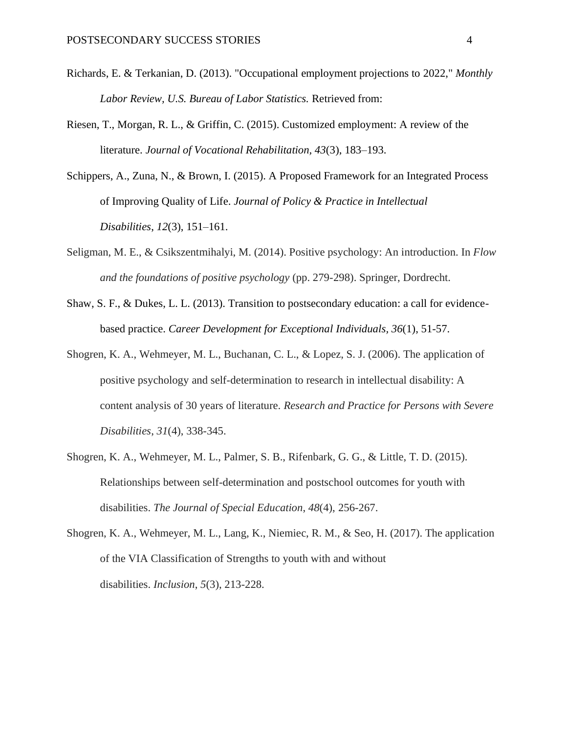- Richards, E. & Terkanian, D. (2013). "Occupational employment projections to 2022," *Monthly Labor Review, U.S. Bureau of Labor Statistics.* Retrieved from:
- Riesen, T., Morgan, R. L., & Griffin, C. (2015). Customized employment: A review of the literature. *Journal of Vocational Rehabilitation, 43*(3), 183–193.
- Schippers, A., Zuna, N., & Brown, I. (2015). A Proposed Framework for an Integrated Process of Improving Quality of Life. *Journal of Policy & Practice in Intellectual Disabilities*, *12*(3), 151–161.
- Seligman, M. E., & Csikszentmihalyi, M. (2014). Positive psychology: An introduction. In *Flow and the foundations of positive psychology* (pp. 279-298). Springer, Dordrecht.
- Shaw, S. F., & Dukes, L. L. (2013). Transition to postsecondary education: a call for evidencebased practice. *Career Development for Exceptional Individuals, 36*(1), 51-57.
- Shogren, K. A., Wehmeyer, M. L., Buchanan, C. L., & Lopez, S. J. (2006). The application of positive psychology and self-determination to research in intellectual disability: A content analysis of 30 years of literature. *Research and Practice for Persons with Severe Disabilities*, *31*(4), 338-345.
- Shogren, K. A., Wehmeyer, M. L., Palmer, S. B., Rifenbark, G. G., & Little, T. D. (2015). Relationships between self-determination and postschool outcomes for youth with disabilities. *The Journal of Special Education*, *48*(4), 256-267.
- Shogren, K. A., Wehmeyer, M. L., Lang, K., Niemiec, R. M., & Seo, H. (2017). The application of the VIA Classification of Strengths to youth with and without disabilities. *Inclusion*, *5*(3), 213-228.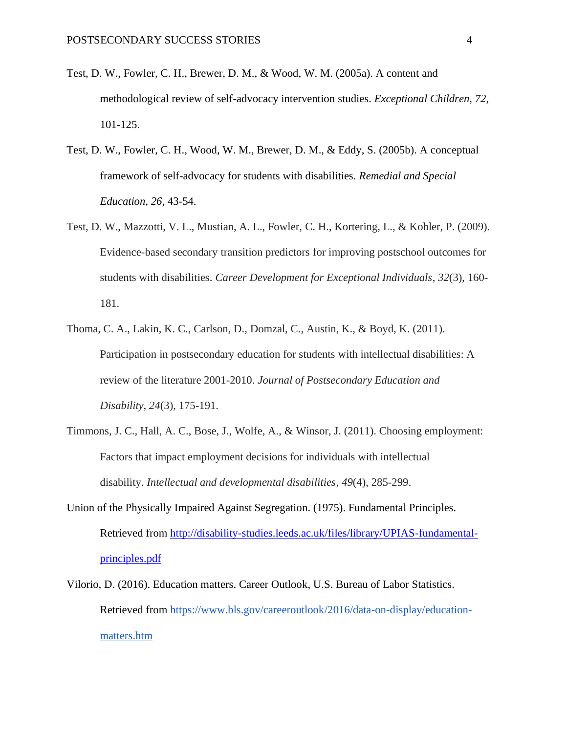- Test, D. W., Fowler, C. H., Brewer, D. M., & Wood, W. M. (2005a). A content and methodological review of self-advocacy intervention studies. *Exceptional Children, 72*, 101-125.
- Test, D. W., Fowler, C. H., Wood, W. M., Brewer, D. M., & Eddy, S. (2005b). A conceptual framework of self-advocacy for students with disabilities. *Remedial and Special Education, 26*, 43-54.
- Test, D. W., Mazzotti, V. L., Mustian, A. L., Fowler, C. H., Kortering, L., & Kohler, P. (2009). Evidence-based secondary transition predictors for improving postschool outcomes for students with disabilities. *Career Development for Exceptional Individuals*, *32*(3), 160- 181.
- Thoma, C. A., Lakin, K. C., Carlson, D., Domzal, C., Austin, K., & Boyd, K. (2011). Participation in postsecondary education for students with intellectual disabilities: A review of the literature 2001-2010. *Journal of Postsecondary Education and Disability*, *24*(3), 175-191.
- Timmons, J. C., Hall, A. C., Bose, J., Wolfe, A., & Winsor, J. (2011). Choosing employment: Factors that impact employment decisions for individuals with intellectual disability. *Intellectual and developmental disabilities*, *49*(4), 285-299.
- Union of the Physically Impaired Against Segregation. (1975). Fundamental Principles. Retrieved from [http://disability-studies.leeds.ac.uk/files/library/UPIAS-fundamental](about:blank)[principles.pdf](about:blank)
- Vilorio, D. (2016). Education matters. Career Outlook, U.S. Bureau of Labor Statistics. Retrieved from [https://www.bls.gov/careeroutlook/2016/data-on-display/education](about:blank)[matters.htm](about:blank)